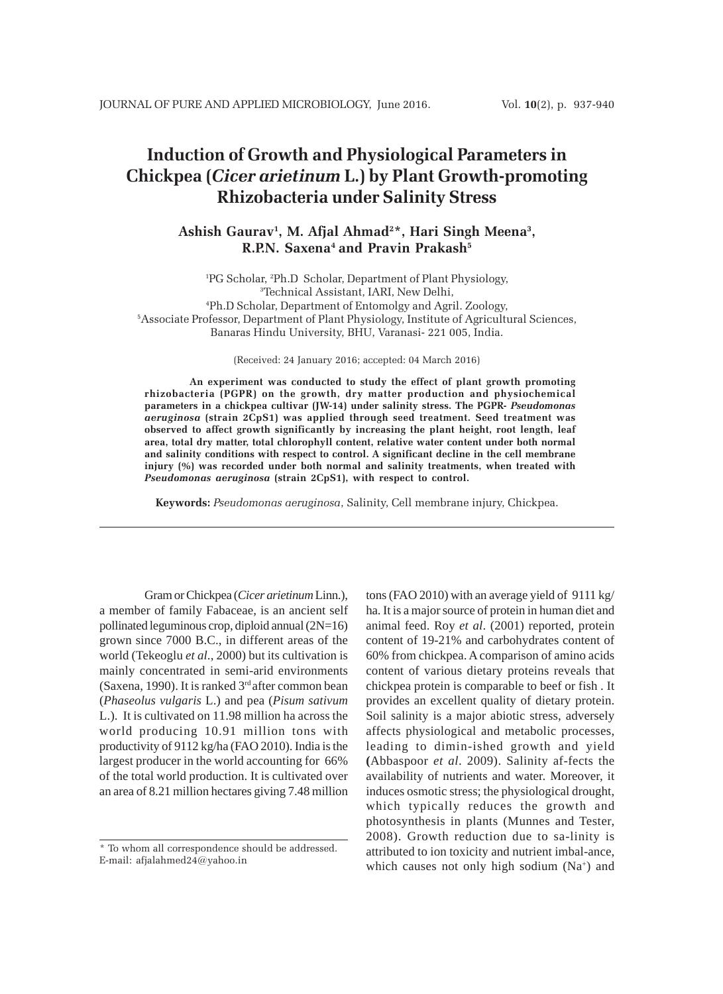# **Induction of Growth and Physiological Parameters in Chickpea (***Cicer arietinum* **L.) by Plant Growth-promoting Rhizobacteria under Salinity Stress**

## **Ashish Gaurav1 , M. Afjal Ahmad2 \*, Hari Singh Meena3 , R.P.N. Saxena4 and Pravin Prakash5**

 PG Scholar, 2 Ph.D Scholar, Department of Plant Physiology, Technical Assistant, IARI, New Delhi, Ph.D Scholar, Department of Entomolgy and Agril. Zoology, Associate Professor, Department of Plant Physiology, Institute of Agricultural Sciences, Banaras Hindu University, BHU, Varanasi- 221 005, India.

(Received: 24 January 2016; accepted: 04 March 2016)

**An experiment was conducted to study the effect of plant growth promoting rhizobacteria (PGPR) on the growth, dry matter production and physiochemical parameters in a chickpea cultivar (JW-14) under salinity stress. The PGPR-** *Pseudomonas aeruginosa* **(strain 2CpS1) was applied through seed treatment. Seed treatment was observed to affect growth significantly by increasing the plant height, root length, leaf area, total dry matter, total chlorophyll content, relative water content under both normal and salinity conditions with respect to control. A significant decline in the cell membrane injury (%) was recorded under both normal and salinity treatments, when treated with** *Pseudomonas aeruginosa* **(strain 2CpS1), with respect to control.**

**Keywords:** *Pseudomonas aeruginosa*, Salinity, Cell membrane injury, Chickpea.

Gram or Chickpea (*Cicer arietinum* Linn.), a member of family Fabaceae, is an ancient self pollinated leguminous crop, diploid annual (2N=16) grown since 7000 B.C., in different areas of the world (Tekeoglu *et al*., 2000) but its cultivation is mainly concentrated in semi-arid environments (Saxena, 1990). It is ranked  $3<sup>rd</sup>$  after common bean (*Phaseolus vulgaris* L.) and pea (*Pisum sativum* L.).It is cultivated on 11.98 million ha across the world producing 10.91 million tons with productivity of 9112 kg/ha (FAO 2010). India is the largest producer in the world accounting for 66% of the total world production. It is cultivated over an area of 8.21 million hectares giving 7.48 million

tons (FAO 2010) with an average yield of 9111 kg/ ha. It is a major source of protein in human diet and animal feed. Roy *et al*. (2001) reported, protein content of 19-21% and carbohydrates content of 60% from chickpea. A comparison of amino acids content of various dietary proteins reveals that chickpea protein is comparable to beef or fish . It provides an excellent quality of dietary protein. Soil salinity is a major abiotic stress, adversely affects physiological and metabolic processes, leading to dimin-ished growth and yield **(**Abbaspoor *et al*. 2009). Salinity af-fects the availability of nutrients and water. Moreover, it induces osmotic stress; the physiological drought, which typically reduces the growth and photosynthesis in plants (Munnes and Tester, 2008). Growth reduction due to sa-linity is attributed to ion toxicity and nutrient imbal-ance, which causes not only high sodium  $(Na<sup>+</sup>)$  and

<sup>\*</sup> To whom all correspondence should be addressed. E-mail: afjalahmed24@yahoo.in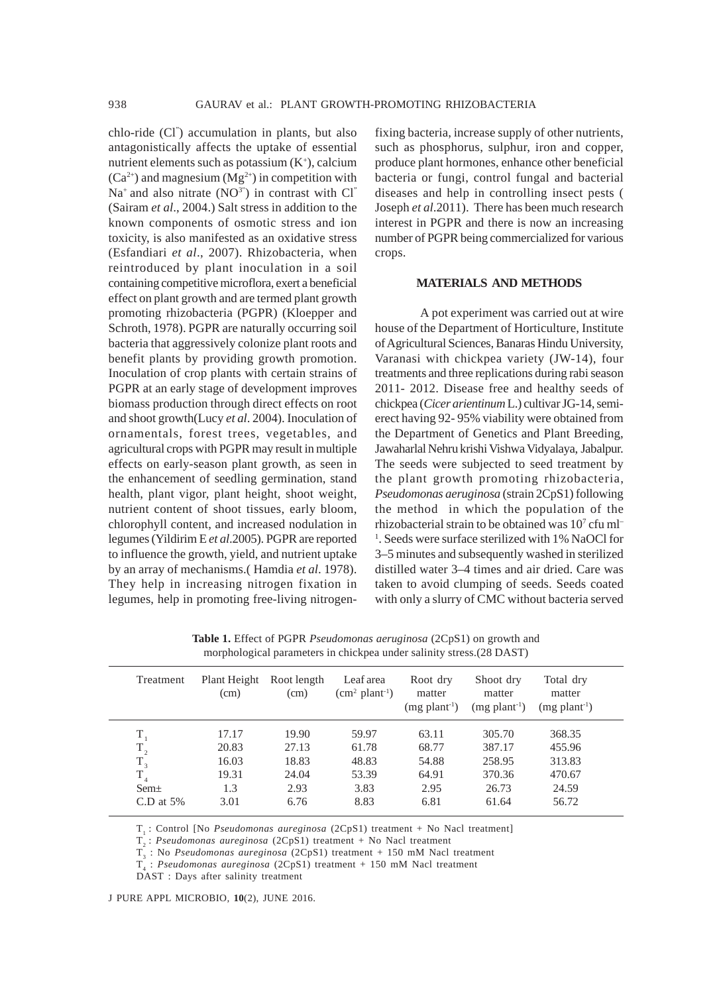chlo-ride (Cl" ) accumulation in plants, but also antagonistically affects the uptake of essential nutrient elements such as potassium  $(K^+)$ , calcium  $(Ca^{2+})$  and magnesium  $(Mg^{2+})$  in competition with  $Na<sup>+</sup>$  and also nitrate  $(NO<sup>3"</sup>)$  in contrast with Cl" (Sairam *et al*., 2004.) Salt stress in addition to the known components of osmotic stress and ion toxicity, is also manifested as an oxidative stress (Esfandiari *et al*., 2007). Rhizobacteria, when reintroduced by plant inoculation in a soil containing competitive microflora, exert a beneficial effect on plant growth and are termed plant growth promoting rhizobacteria (PGPR) (Kloepper and Schroth, 1978). PGPR are naturally occurring soil bacteria that aggressively colonize plant roots and benefit plants by providing growth promotion. Inoculation of crop plants with certain strains of PGPR at an early stage of development improves biomass production through direct effects on root and shoot growth(Lucy *et al*. 2004). Inoculation of ornamentals, forest trees, vegetables, and agricultural crops with PGPR may result in multiple effects on early-season plant growth, as seen in the enhancement of seedling germination, stand health, plant vigor, plant height, shoot weight, nutrient content of shoot tissues, early bloom, chlorophyll content, and increased nodulation in legumes (Yildirim E *et al*.2005). PGPR are reported to influence the growth, yield, and nutrient uptake by an array of mechanisms.( Hamdia *et al*. 1978). They help in increasing nitrogen fixation in legumes, help in promoting free-living nitrogenfixing bacteria, increase supply of other nutrients, such as phosphorus, sulphur, iron and copper, produce plant hormones, enhance other beneficial bacteria or fungi, control fungal and bacterial diseases and help in controlling insect pests ( Joseph *et al*.2011). There has been much research interest in PGPR and there is now an increasing number of PGPR being commercialized for various crops.

### **MATERIALS AND METHODS**

A pot experiment was carried out at wire house of the Department of Horticulture, Institute of Agricultural Sciences, Banaras Hindu University, Varanasi with chickpea variety (JW-14), four treatments and three replications during rabi season 2011- 2012. Disease free and healthy seeds of chickpea (*Cicer arientinum* L.) cultivar JG-14, semierect having 92- 95% viability were obtained from the Department of Genetics and Plant Breeding, Jawaharlal Nehru krishi Vishwa Vidyalaya, Jabalpur. The seeds were subjected to seed treatment by the plant growth promoting rhizobacteria, *Pseudomonas aeruginosa* (strain 2CpS1) following the method in which the population of the rhizobacterial strain to be obtained was 107 cfu ml– <sup>1</sup>. Seeds were surface sterilized with 1% NaOCl for 3–5 minutes and subsequently washed in sterilized distilled water 3–4 times and air dried. Care was taken to avoid clumping of seeds. Seeds coated with only a slurry of CMC without bacteria served

| morphological parameters in chickpea under salinity stress. (28 DAST) |                      |                     |                              |                                                   |                                                    |                                                    |  |  |  |
|-----------------------------------------------------------------------|----------------------|---------------------|------------------------------|---------------------------------------------------|----------------------------------------------------|----------------------------------------------------|--|--|--|
| Treatment                                                             | Plant Height<br>(cm) | Root length<br>(cm) | Leaf area<br>$(cm2 plant-1)$ | Root dry<br>matter<br>$(mg$ plant <sup>-1</sup> ) | Shoot dry<br>matter<br>$(mg$ plant <sup>-1</sup> ) | Total dry<br>matter<br>$(mg$ plant <sup>-1</sup> ) |  |  |  |
| $\rm T_{_{1}}$                                                        | 17.17                | 19.90               | 59.97                        | 63.11                                             | 305.70                                             | 368.35                                             |  |  |  |
| $\rm T_{_2}$                                                          | 20.83                | 27.13               | 61.78                        | 68.77                                             | 387.17                                             | 455.96                                             |  |  |  |
| $T_{3}$                                                               | 16.03                | 18.83               | 48.83                        | 54.88                                             | 258.95                                             | 313.83                                             |  |  |  |
| $T_{4}$                                                               | 19.31                | 24.04               | 53.39                        | 64.91                                             | 370.36                                             | 470.67                                             |  |  |  |
| $Sem\pm$                                                              | 1.3                  | 2.93                | 3.83                         | 2.95                                              | 26.73                                              | 24.59                                              |  |  |  |
| C.D at $5\%$                                                          | 3.01                 | 6.76                | 8.83                         | 6.81                                              | 61.64                                              | 56.72                                              |  |  |  |

**Table 1.** Effect of PGPR *Pseudomonas aeruginosa* (2CpS1) on growth and

T<sub>1</sub>: Control [No *Pseudomonas aureginosa* (2CpS1) treatment + No Nacl treatment]

T<sub>2</sub>: *Pseudomonas aureginosa* (2CpS1) treatment + No Nacl treatment

T<sub>3</sub>: No *Pseudomonas aureginosa* (2CpS1) treatment + 150 mM Nacl treatment

T4 : *Pseudomonas aureginosa* (2CpS1) treatment + 150 mM Nacl treatment

DAST : Days after salinity treatment

J PURE APPL MICROBIO*,* **10**(2), JUNE 2016.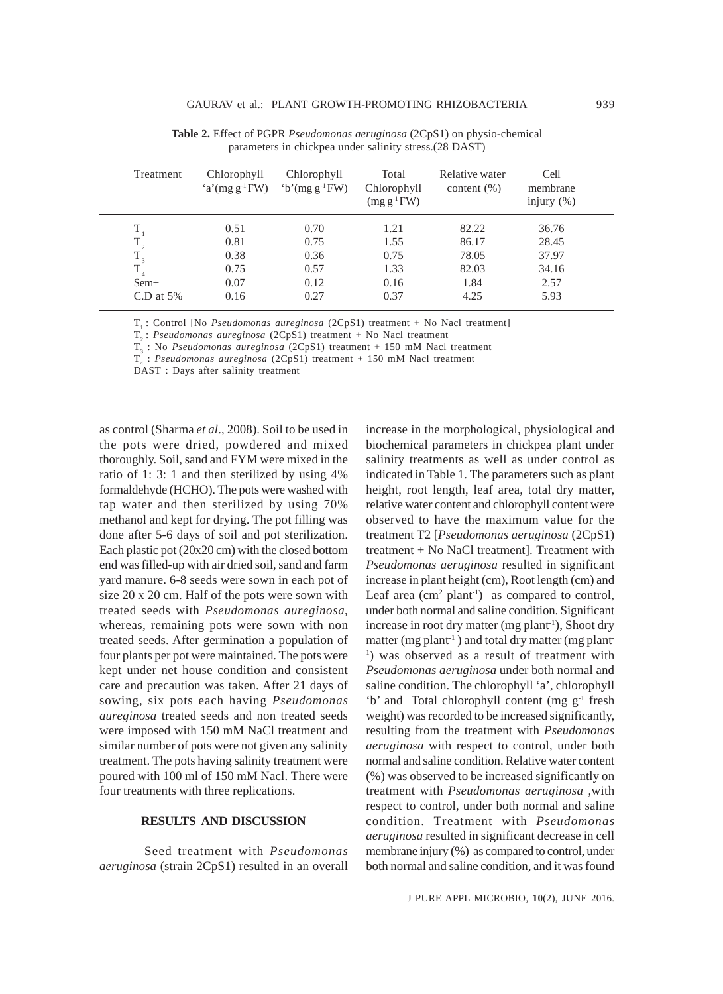| Treatment    | Chlorophyll<br>$a'(mg g^{-1}FW)$ | Chlorophyll<br>$b'(mg g^{-1}FW)$ | Total<br>Chlorophyll<br>$(mg g^{-1}FW)$ | Relative water<br>content $(\% )$ | Cell<br>membrane<br>injury $(\% )$ |
|--------------|----------------------------------|----------------------------------|-----------------------------------------|-----------------------------------|------------------------------------|
|              | 0.51                             | 0.70                             | 1.21                                    | 82.22                             | 36.76                              |
| $\rm T_{_2}$ | 0.81                             | 0.75                             | 1.55                                    | 86.17                             | 28.45                              |
| $T_{3}$      | 0.38                             | 0.36                             | 0.75                                    | 78.05                             | 37.97                              |
| $T_{4}$      | 0.75                             | 0.57                             | 1.33                                    | 82.03                             | 34.16                              |
| $Sem\pm$     | 0.07                             | 0.12                             | 0.16                                    | 1.84                              | 2.57                               |
| C.D at $5\%$ | 0.16                             | 0.27                             | 0.37                                    | 4.25                              | 5.93                               |

**Table 2.** Effect of PGPR *Pseudomonas aeruginosa* (2CpS1) on physio-chemical parameters in chickpea under salinity stress.(28 DAST)

T<sub>1</sub>: Control [No *Pseudomonas aureginosa* (2CpS1) treatment + No Nacl treatment]

T2 : *Pseudomonas aureginosa* (2CpS1) treatment + No Nacl treatment

T<sub>3</sub>: No *Pseudomonas aureginosa* (2CpS1) treatment + 150 mM Nacl treatment

T4 : *Pseudomonas aureginosa* (2CpS1) treatment + 150 mM Nacl treatment

DAST : Days after salinity treatment

as control (Sharma *et al*., 2008). Soil to be used in the pots were dried, powdered and mixed thoroughly. Soil, sand and FYM were mixed in the ratio of 1: 3: 1 and then sterilized by using 4% formaldehyde (HCHO). The pots were washed with tap water and then sterilized by using 70% methanol and kept for drying. The pot filling was done after 5-6 days of soil and pot sterilization. Each plastic pot (20x20 cm) with the closed bottom end was filled-up with air dried soil, sand and farm yard manure. 6-8 seeds were sown in each pot of size 20 x 20 cm. Half of the pots were sown with treated seeds with *Pseudomonas aureginosa*, whereas, remaining pots were sown with non treated seeds. After germination a population of four plants per pot were maintained. The pots were kept under net house condition and consistent care and precaution was taken. After 21 days of sowing, six pots each having *Pseudomonas aureginosa* treated seeds and non treated seeds were imposed with 150 mM NaCl treatment and similar number of pots were not given any salinity treatment. The pots having salinity treatment were poured with 100 ml of 150 mM Nacl. There were four treatments with three replications.

## **RESULTS AND DISCUSSION**

Seed treatment with *Pseudomonas aeruginosa* (strain 2CpS1) resulted in an overall increase in the morphological, physiological and biochemical parameters in chickpea plant under salinity treatments as well as under control as indicated in Table 1. The parameters such as plant height, root length, leaf area, total dry matter, relative water content and chlorophyll content were observed to have the maximum value for the treatment T2 [*Pseudomonas aeruginosa* (2CpS1) treatment + No NaCl treatment]. Treatment with *Pseudomonas aeruginosa* resulted in significant increase in plant height (cm), Root length (cm) and Leaf area  $(cm<sup>2</sup> plant<sup>-1</sup>)$  as compared to control, under both normal and saline condition. Significant increase in root dry matter (mg plant<sup>-1</sup>), Shoot dry matter (mg plant<sup>-1</sup>) and total dry matter (mg plant-1 ) was observed as a result of treatment with *Pseudomonas aeruginosa* under both normal and saline condition. The chlorophyll 'a', chlorophyll 'b' and Total chlorophyll content (mg g<sup>-1</sup> fresh weight) was recorded to be increased significantly, resulting from the treatment with *Pseudomonas aeruginosa* with respect to control, under both normal and saline condition. Relative water content (%) was observed to be increased significantly on treatment with *Pseudomonas aeruginosa* ,with respect to control, under both normal and saline condition. Treatment with *Pseudomonas aeruginosa* resulted in significant decrease in cell membrane injury (%) as compared to control, under both normal and saline condition, and it was found